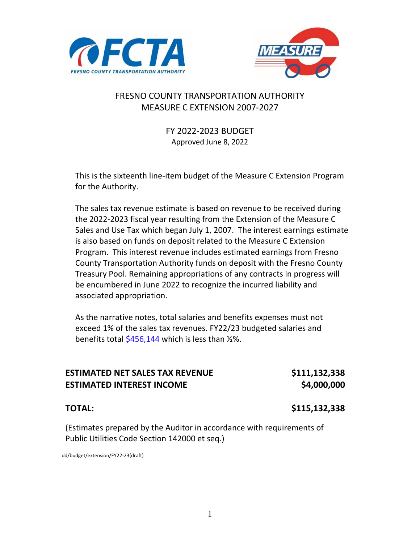



## FRESNO COUNTY TRANSPORTATION AUTHORITY MEASURE C EXTENSION 2007-2027

FY 2022-2023 BUDGET Approved June 8, 2022

This is the sixteenth line-item budget of the Measure C Extension Program for the Authority.

The sales tax revenue estimate is based on revenue to be received during the 2022-2023 fiscal year resulting from the Extension of the Measure C Sales and Use Tax which began July 1, 2007. The interest earnings estimate is also based on funds on deposit related to the Measure C Extension Program. This interest revenue includes estimated earnings from Fresno County Transportation Authority funds on deposit with the Fresno County Treasury Pool. Remaining appropriations of any contracts in progress will be encumbered in June 2022 to recognize the incurred liability and associated appropriation.

As the narrative notes, total salaries and benefits expenses must not exceed 1% of the sales tax revenues. FY22/23 budgeted salaries and benefits total \$456,144 which is less than ½%.

| <b>ESTIMATED NET SALES TAX REVENUE</b> | \$111,132,338 |
|----------------------------------------|---------------|
| <b>ESTIMATED INTEREST INCOME</b>       | \$4,000,000   |

#### **TOTAL: \$115,132,338**

(Estimates prepared by the Auditor in accordance with requirements of Public Utilities Code Section 142000 et seq.)

dd/budget/extension/FY22-23(draft)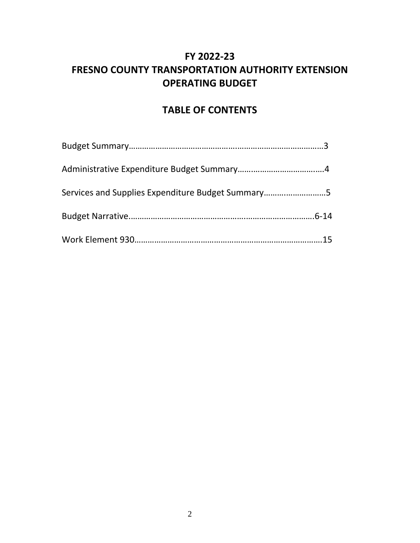## **FY 2022-23 FRESNO COUNTY TRANSPORTATION AUTHORITY EXTENSION OPERATING BUDGET**

## **TABLE OF CONTENTS**

| Services and Supplies Expenditure Budget Summary5 |  |
|---------------------------------------------------|--|
|                                                   |  |
|                                                   |  |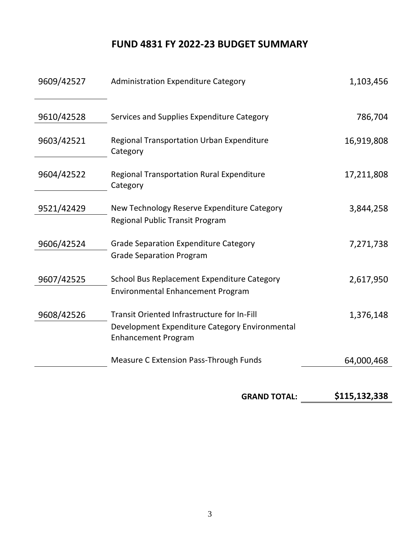## **FUND 4831 FY 2022-23 BUDGET SUMMARY**

| 9609/42527 | <b>Administration Expenditure Category</b>                                     | 1,103,456  |
|------------|--------------------------------------------------------------------------------|------------|
| 9610/42528 | Services and Supplies Expenditure Category                                     | 786,704    |
| 9603/42521 | <b>Regional Transportation Urban Expenditure</b><br>Category                   | 16,919,808 |
| 9604/42522 | <b>Regional Transportation Rural Expenditure</b><br>Category                   | 17,211,808 |
| 9521/42429 | New Technology Reserve Expenditure Category<br>Regional Public Transit Program | 3,844,258  |
| 9606/42524 | <b>Grade Separation Expenditure Category</b>                                   | 7,271,738  |
|            | <b>Grade Separation Program</b>                                                |            |
| 9607/42525 | School Bus Replacement Expenditure Category                                    | 2,617,950  |
|            | <b>Environmental Enhancement Program</b>                                       |            |
| 9608/42526 | <b>Transit Oriented Infrastructure for In-Fill</b>                             | 1,376,148  |
|            | Development Expenditure Category Environmental<br><b>Enhancement Program</b>   |            |
|            | <b>Measure C Extension Pass-Through Funds</b>                                  | 64,000,468 |
|            |                                                                                |            |

**GRAND TOTAL: \$115,132,338**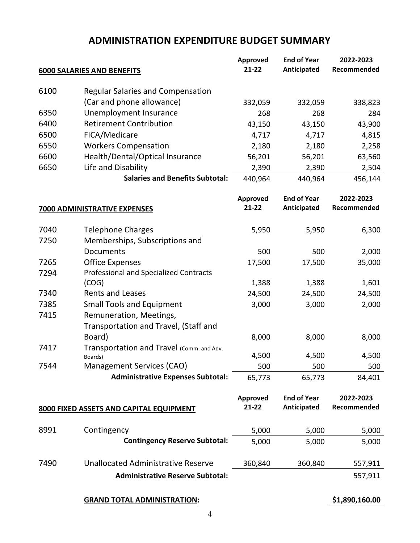## **ADMINISTRATION EXPENDITURE BUDGET SUMMARY**

|      |                                               | Approved        | <b>End of Year</b> | 2022-2023   |
|------|-----------------------------------------------|-----------------|--------------------|-------------|
|      | <b>6000 SALARIES AND BENEFITS</b>             | $21-22$         | Anticipated        | Recommended |
|      |                                               |                 |                    |             |
| 6100 | <b>Regular Salaries and Compensation</b>      |                 |                    |             |
|      | (Car and phone allowance)                     | 332,059         | 332,059            | 338,823     |
| 6350 | Unemployment Insurance                        | 268             | 268                | 284         |
| 6400 | <b>Retirement Contribution</b>                | 43,150          | 43,150             | 43,900      |
| 6500 | FICA/Medicare                                 | 4,717           | 4,717              | 4,815       |
| 6550 | <b>Workers Compensation</b>                   | 2,180           | 2,180              | 2,258       |
| 6600 | Health/Dental/Optical Insurance               | 56,201          | 56,201             | 63,560      |
| 6650 | Life and Disability                           | 2,390           | 2,390              | 2,504       |
|      | <b>Salaries and Benefits Subtotal:</b>        | 440,964         | 440,964            | 456,144     |
|      |                                               | <b>Approved</b> | <b>End of Year</b> | 2022-2023   |
|      | <b>7000 ADMINISTRATIVE EXPENSES</b>           | $21 - 22$       | Anticipated        | Recommended |
| 7040 | <b>Telephone Charges</b>                      | 5,950           | 5,950              | 6,300       |
| 7250 | Memberships, Subscriptions and                |                 |                    |             |
|      | Documents                                     | 500             | 500                | 2,000       |
| 7265 | <b>Office Expenses</b>                        | 17,500          | 17,500             | 35,000      |
| 7294 | <b>Professional and Specialized Contracts</b> |                 |                    |             |
|      | (COG)                                         | 1,388           | 1,388              | 1,601       |
| 7340 | <b>Rents and Leases</b>                       | 24,500          | 24,500             | 24,500      |
| 7385 | <b>Small Tools and Equipment</b>              | 3,000           | 3,000              | 2,000       |
| 7415 | Remuneration, Meetings,                       |                 |                    |             |
|      | Transportation and Travel, (Staff and         |                 |                    |             |
|      | Board)                                        | 8,000           | 8,000              | 8,000       |
| 7417 | Transportation and Travel (Comm. and Adv.     |                 |                    |             |
|      | Boards)                                       | 4,500           | 4,500              | 4,500       |
| 7544 | Management Services (CAO)                     | 500             | 500                | 500         |
|      | <b>Administrative Expenses Subtotal:</b>      | 65,773          | 65,773             | 84,401      |
|      |                                               | <b>Approved</b> | <b>End of Year</b> | 2022-2023   |
|      | 8000 FIXED ASSETS AND CAPITAL EQUIPMENT       | $21 - 22$       | Anticipated        | Recommended |
| 8991 | Contingency                                   | 5,000           | 5,000              | 5,000       |
|      | <b>Contingency Reserve Subtotal:</b>          | 5,000           | 5,000              | 5,000       |
|      |                                               |                 |                    |             |
| 7490 | <b>Unallocated Administrative Reserve</b>     | 360,840         | 360,840            | 557,911     |
|      | <b>Administrative Reserve Subtotal:</b>       |                 |                    | 557,911     |

**GRAND TOTAL ADMINISTRATION: \$1,890,160.00**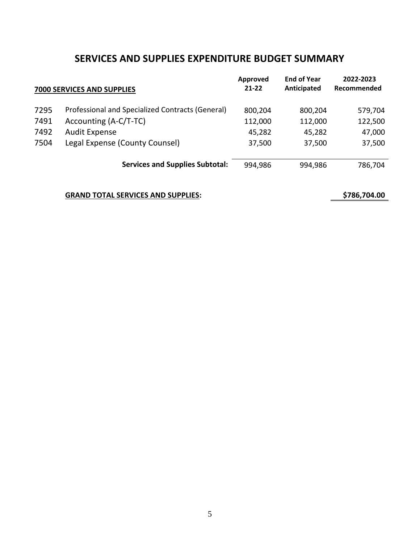## **SERVICES AND SUPPLIES EXPENDITURE BUDGET SUMMARY**

|      | 7000 SERVICES AND SUPPLIES                       | Approved<br>$21 - 22$ | <b>End of Year</b><br>Anticipated | 2022-2023<br>Recommended |
|------|--------------------------------------------------|-----------------------|-----------------------------------|--------------------------|
| 7295 | Professional and Specialized Contracts (General) | 800,204               | 800,204                           | 579,704                  |
| 7491 | Accounting (A-C/T-TC)                            | 112,000               | 112,000                           | 122,500                  |
| 7492 | <b>Audit Expense</b>                             | 45,282                | 45,282                            | 47,000                   |
| 7504 | Legal Expense (County Counsel)                   | 37,500                | 37,500                            | 37,500                   |
|      | <b>Services and Supplies Subtotal:</b>           | 994,986               | 994,986                           | 786,704                  |

#### **GRAND TOTAL SERVICES AND SUPPLIES: \$786,704.00**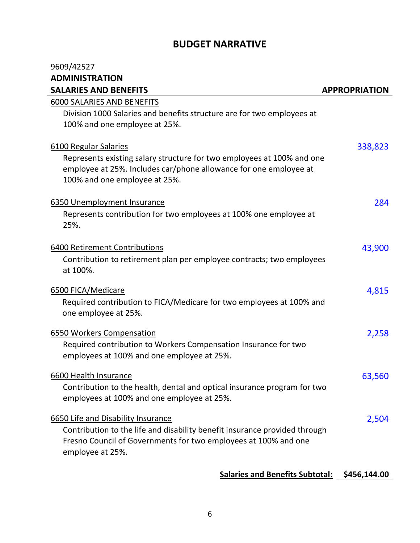## **BUDGET NARRATIVE**

| 9609/42527                                                                                                                                  |                      |
|---------------------------------------------------------------------------------------------------------------------------------------------|----------------------|
| <b>ADMINISTRATION</b>                                                                                                                       |                      |
| <b>SALARIES AND BENEFITS</b>                                                                                                                | <b>APPROPRIATION</b> |
| 6000 SALARIES AND BENEFITS                                                                                                                  |                      |
| Division 1000 Salaries and benefits structure are for two employees at                                                                      |                      |
| 100% and one employee at 25%.                                                                                                               |                      |
|                                                                                                                                             |                      |
| 6100 Regular Salaries                                                                                                                       | 338,823              |
| Represents existing salary structure for two employees at 100% and one<br>employee at 25%. Includes car/phone allowance for one employee at |                      |
| 100% and one employee at 25%.                                                                                                               |                      |
|                                                                                                                                             |                      |
| 6350 Unemployment Insurance                                                                                                                 | 284                  |
| Represents contribution for two employees at 100% one employee at                                                                           |                      |
| 25%.                                                                                                                                        |                      |
|                                                                                                                                             |                      |
| 6400 Retirement Contributions                                                                                                               | 43,900               |
| Contribution to retirement plan per employee contracts; two employees                                                                       |                      |
| at 100%.                                                                                                                                    |                      |
| 6500 FICA/Medicare                                                                                                                          | 4,815                |
| Required contribution to FICA/Medicare for two employees at 100% and                                                                        |                      |
| one employee at 25%.                                                                                                                        |                      |
| 6550 Workers Compensation                                                                                                                   | 2,258                |
| Required contribution to Workers Compensation Insurance for two                                                                             |                      |
| employees at 100% and one employee at 25%.                                                                                                  |                      |
|                                                                                                                                             |                      |
| 6600 Health Insurance                                                                                                                       | 63,560               |
| Contribution to the health, dental and optical insurance program for two                                                                    |                      |
| employees at 100% and one employee at 25%.                                                                                                  |                      |
| 6650 Life and Disability Insurance                                                                                                          | 2,504                |
| Contribution to the life and disability benefit insurance provided through                                                                  |                      |
| Fresno Council of Governments for two employees at 100% and one                                                                             |                      |
| employee at 25%.                                                                                                                            |                      |
|                                                                                                                                             |                      |

## **Salaries and Benefits Subtotal: \$456,144.00**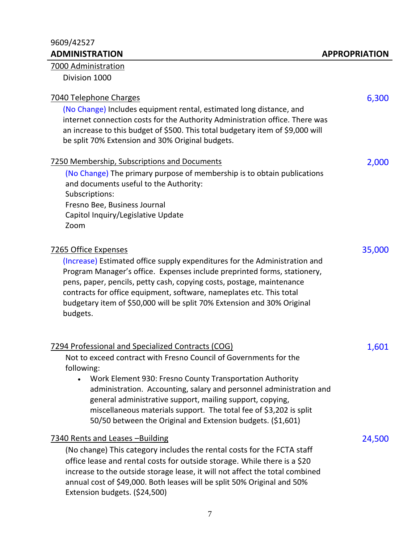## 9609/42527

## 7000 Administration

Division 1000

| 7040 Telephone Charges<br>(No Change) Includes equipment rental, estimated long distance, and<br>internet connection costs for the Authority Administration office. There was<br>an increase to this budget of \$500. This total budgetary item of \$9,000 will<br>be split 70% Extension and 30% Original budgets.                                                                                                                                                       | 6,300  |
|---------------------------------------------------------------------------------------------------------------------------------------------------------------------------------------------------------------------------------------------------------------------------------------------------------------------------------------------------------------------------------------------------------------------------------------------------------------------------|--------|
| 7250 Membership, Subscriptions and Documents<br>(No Change) The primary purpose of membership is to obtain publications<br>and documents useful to the Authority:<br>Subscriptions:<br>Fresno Bee, Business Journal<br>Capitol Inquiry/Legislative Update<br>Zoom                                                                                                                                                                                                         | 2,000  |
| 7265 Office Expenses<br>(Increase) Estimated office supply expenditures for the Administration and<br>Program Manager's office. Expenses include preprinted forms, stationery,<br>pens, paper, pencils, petty cash, copying costs, postage, maintenance<br>contracts for office equipment, software, nameplates etc. This total<br>budgetary item of \$50,000 will be split 70% Extension and 30% Original<br>budgets.                                                    | 35,000 |
| 7294 Professional and Specialized Contracts (COG)<br>Not to exceed contract with Fresno Council of Governments for the<br>following:<br>Work Element 930: Fresno County Transportation Authority<br>administration. Accounting, salary and personnel administration and<br>general administrative support, mailing support, copying,<br>miscellaneous materials support. The total fee of \$3,202 is split<br>50/50 between the Original and Extension budgets. (\$1,601) | 1,601  |
| 7340 Rents and Leases - Building<br>(No change) This category includes the rental costs for the FCTA staff<br>office lease and rental costs for outside storage. While there is a \$20<br>increase to the outside storage lease, it will not affect the total combined<br>annual cost of \$49,000. Both leases will be split 50% Original and 50%<br>Extension budgets. (\$24,500)                                                                                        | 24,500 |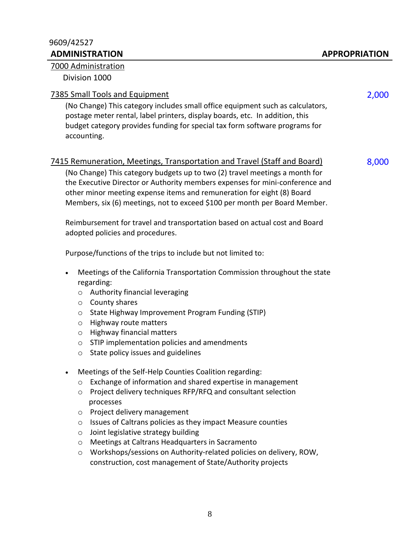#### 9609/42527 **ADMINISTRATION APPROPRIATION**

#### 7000 Administration

Division 1000

#### The Small Tools and Equipment 2,000 and 2,000 and 2,000 and 2,000 and 2,000 and 2,000 and 2,000 and 2,000 and 2,000 and 2,000 and 2,000 and 2,000 and 2,000 and 2,000 and 2,000 and 2,000 and 2,000 and 2,000 and 2,000 and 2,

(No Change) This category includes small office equipment such as calculators, postage meter rental, label printers, display boards, etc. In addition, this budget category provides funding for special tax form software programs for accounting.

#### 7415 Remuneration, Meetings, Transportation and Travel (Staff and Board) 8,000

(No Change) This category budgets up to two (2) travel meetings a month for the Executive Director or Authority members expenses for mini-conference and other minor meeting expense items and remuneration for eight (8) Board Members, six (6) meetings, not to exceed \$100 per month per Board Member.

Reimbursement for travel and transportation based on actual cost and Board adopted policies and procedures.

Purpose/functions of the trips to include but not limited to:

- Meetings of the California Transportation Commission throughout the state regarding:
	- o Authority financial leveraging
	- o County shares
	- o State Highway Improvement Program Funding (STIP)
	- o Highway route matters
	- o Highway financial matters
	- o STIP implementation policies and amendments
	- $\circ$  State policy issues and guidelines
- Meetings of the Self-Help Counties Coalition regarding:
	- o Exchange of information and shared expertise in management
	- o Project delivery techniques RFP/RFQ and consultant selection processes
	- o Project delivery management
	- o Issues of Caltrans policies as they impact Measure counties
	- $\circ$  Joint legislative strategy building
	- o Meetings at Caltrans Headquarters in Sacramento
	- o Workshops/sessions on Authority-related policies on delivery, ROW, construction, cost management of State/Authority projects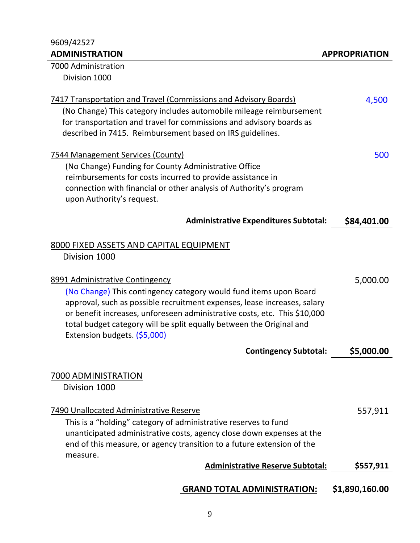# 9609/42527

| 7000 Administration                                                                                                                                                                                                                                                          |             |
|------------------------------------------------------------------------------------------------------------------------------------------------------------------------------------------------------------------------------------------------------------------------------|-------------|
| Division 1000                                                                                                                                                                                                                                                                |             |
| 7417 Transportation and Travel (Commissions and Advisory Boards)<br>(No Change) This category includes automobile mileage reimbursement<br>for transportation and travel for commissions and advisory boards as<br>described in 7415. Reimbursement based on IRS guidelines. | 4,500       |
| <u>7544 Management Services (County)</u><br>(No Change) Funding for County Administrative Office<br>reimbursements for costs incurred to provide assistance in<br>connection with financial or other analysis of Authority's program<br>upon Authority's request.            | 500         |
| <b>Administrative Expenditures Subtotal:</b>                                                                                                                                                                                                                                 | \$84,401.00 |
| 8000 FIXED ASSETS AND CAPITAL EQUIPMENT<br>Division 1000                                                                                                                                                                                                                     |             |

| 8991 Administrative Contingency                                                                                                                                                                                                                                                                                                    | 5,000.00   |
|------------------------------------------------------------------------------------------------------------------------------------------------------------------------------------------------------------------------------------------------------------------------------------------------------------------------------------|------------|
| (No Change) This contingency category would fund items upon Board<br>approval, such as possible recruitment expenses, lease increases, salary<br>or benefit increases, unforeseen administrative costs, etc. This \$10,000<br>total budget category will be split equally between the Original and<br>Extension budgets. (\$5,000) |            |
| <b>Contingency Subtotal:</b>                                                                                                                                                                                                                                                                                                       | \$5,000.00 |

## 7000 ADMINISTRATION

Division 1000

| 7490 Unallocated Administrative Reserve                                | 557,911 |
|------------------------------------------------------------------------|---------|
| This is a "holding" category of administrative reserves to fund        |         |
| unanticipated administrative costs, agency close down expenses at the  |         |
| end of this measure, or agency transition to a future extension of the |         |
| measure.                                                               |         |

## Administrative Reserve Subtotal: 5557,911

## **GRAND TOTAL ADMINISTRATION: \$1,890,160.00**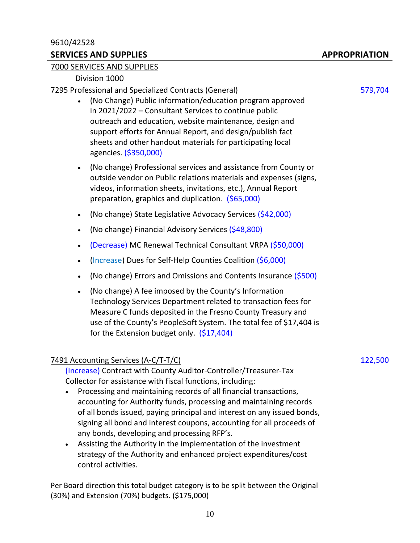#### 9610/42528

#### **SERVICES AND SUPPLIES APPROPRIATION**

#### 7000 SERVICES AND SUPPLIES

#### Division 1000

#### 7295 Professional and Specialized Contracts (General) 579,704

- (No Change) Public information/education program approved in 2021/2022 – Consultant Services to continue public outreach and education, website maintenance, design and support efforts for Annual Report, and design/publish fact sheets and other handout materials for participating local agencies. (\$350,000)
- (No change) Professional services and assistance from County or outside vendor on Public relations materials and expenses (signs, videos, information sheets, invitations, etc.), Annual Report preparation, graphics and duplication. (\$65,000)
- (No change) State Legislative Advocacy Services (\$42,000)
- (No change) Financial Advisory Services (\$48,800)
- (Decrease) MC Renewal Technical Consultant VRPA (\$50,000)
- (Increase) Dues for Self-Help Counties Coalition (\$6,000)
- (No change) Errors and Omissions and Contents Insurance  $(5500)$
- (No change) A fee imposed by the County's Information Technology Services Department related to transaction fees for Measure C funds deposited in the Fresno County Treasury and use of the County's PeopleSoft System. The total fee of \$17,404 is for the Extension budget only. (\$17,404)

#### 7491 Accounting Services (A-C/T-T/C) 122,500

(Increase) Contract with County Auditor-Controller/Treasurer-Tax Collector for assistance with fiscal functions, including:

- Processing and maintaining records of all financial transactions, accounting for Authority funds, processing and maintaining records of all bonds issued, paying principal and interest on any issued bonds, signing all bond and interest coupons, accounting for all proceeds of any bonds, developing and processing RFP's.
- Assisting the Authority in the implementation of the investment strategy of the Authority and enhanced project expenditures/cost control activities.

Per Board direction this total budget category is to be split between the Original (30%) and Extension (70%) budgets. (\$175,000)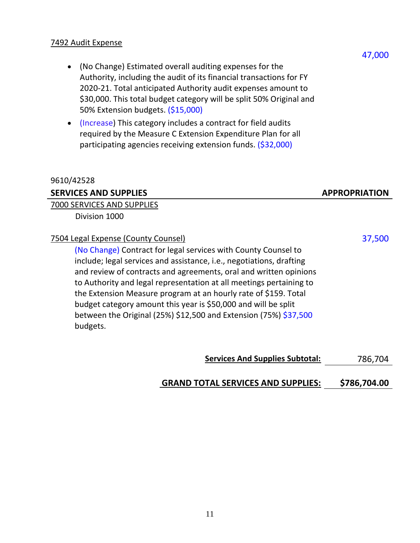#### 7492 Audit Expense

- (No Change) Estimated overall auditing expenses for the Authority, including the audit of its financial transactions for FY 2020-21. Total anticipated Authority audit expenses amount to \$30,000. This total budget category will be split 50% Original and 50% Extension budgets. (\$15,000)
- (Increase) This category includes a contract for field audits required by the Measure C Extension Expenditure Plan for all participating agencies receiving extension funds. (\$32,000)

| 9610/42528                                                                                                                                                                                                                                                                                                                                                                                                                                                                                                                                     |                      |
|------------------------------------------------------------------------------------------------------------------------------------------------------------------------------------------------------------------------------------------------------------------------------------------------------------------------------------------------------------------------------------------------------------------------------------------------------------------------------------------------------------------------------------------------|----------------------|
| <b>SERVICES AND SUPPLIES</b>                                                                                                                                                                                                                                                                                                                                                                                                                                                                                                                   | <b>APPROPRIATION</b> |
| 7000 SERVICES AND SUPPLIES                                                                                                                                                                                                                                                                                                                                                                                                                                                                                                                     |                      |
| Division 1000                                                                                                                                                                                                                                                                                                                                                                                                                                                                                                                                  |                      |
| 7504 Legal Expense (County Counsel)<br>(No Change) Contract for legal services with County Counsel to<br>include; legal services and assistance, i.e., negotiations, drafting<br>and review of contracts and agreements, oral and written opinions<br>to Authority and legal representation at all meetings pertaining to<br>the Extension Measure program at an hourly rate of \$159. Total<br>budget category amount this year is \$50,000 and will be split<br>between the Original (25%) \$12,500 and Extension (75%) \$37,500<br>budgets. | 37,500               |

**Services And Supplies Subtotal:** 786,704

### **GRAND TOTAL SERVICES AND SUPPLIES: \$786,704.00**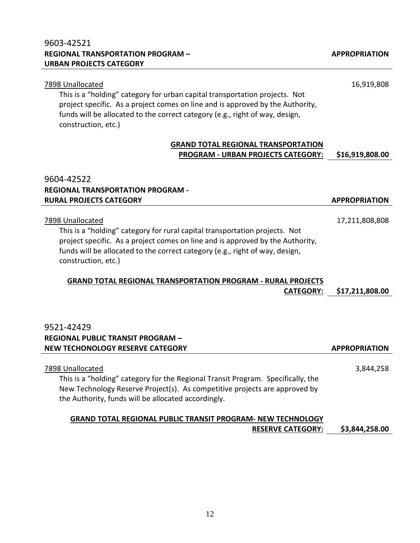### 9603-42521 **REGIONAL TRANSPORTATION PROGRAM – URBAN PROJECTS CATEGORY**

| project specific. As a project comes on line and is approved by the Authority,<br>funds will be allocated to the correct category (e.g., right of way, design,<br>construction, etc.)                                                                                                                                                                                               |                                   |
|-------------------------------------------------------------------------------------------------------------------------------------------------------------------------------------------------------------------------------------------------------------------------------------------------------------------------------------------------------------------------------------|-----------------------------------|
| <b>GRAND TOTAL REGIONAL TRANSPORTATION</b><br>PROGRAM - URBAN PROJECTS CATEGORY:                                                                                                                                                                                                                                                                                                    | \$16,919,808.00                   |
| 9604-42522<br><b>REGIONAL TRANSPORTATION PROGRAM -</b><br><b>RURAL PROJECTS CATEGORY</b>                                                                                                                                                                                                                                                                                            | <b>APPROPRIATION</b>              |
| 7898 Unallocated<br>This is a "holding" category for rural capital transportation projects. Not<br>project specific. As a project comes on line and is approved by the Authority,<br>funds will be allocated to the correct category (e.g., right of way, design,<br>construction, etc.)<br><b>GRAND TOTAL REGIONAL TRANSPORTATION PROGRAM - RURAL PROJECTS</b><br><b>CATEGORY:</b> | 17,211,808,808<br>\$17,211,808.00 |
| 9521-42429<br><b>REGIONAL PUBLIC TRANSIT PROGRAM -</b><br>NEW TECHONOLOGY RESERVE CATEGORY                                                                                                                                                                                                                                                                                          | <b>APPROPRIATION</b>              |
| 7898 Unallocated<br>This is a "holding" category for the Regional Transit Program. Specifically, the<br>New Technology Reserve Project(s). As competitive projects are approved by<br>the Authority, funds will be allocated accordingly.                                                                                                                                           | 3,844,258                         |
| <b>GRAND TOTAL REGIONAL PUBLIC TRANSIT PROGRAM- NEW TECHNOLOGY</b><br><b>RESERVE CATEGORY:</b>                                                                                                                                                                                                                                                                                      | \$3,844,258.00                    |

7898 Unallocated 16,919,808

This is a "holding" category for urban capital transportation projects. Not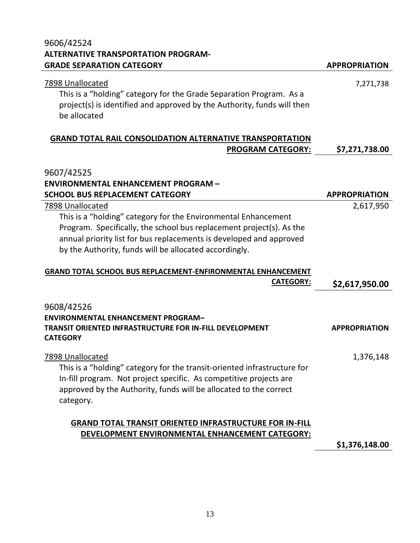# 9606/42524 **ALTERNATIVE TRANSPORTATION PROGRAM-**

| <b>GRADE SEPARATION CATEGORY</b>                                                                                                                                                                                                                                        | <b>APPROPRIATION</b> |
|-------------------------------------------------------------------------------------------------------------------------------------------------------------------------------------------------------------------------------------------------------------------------|----------------------|
| 7898 Unallocated<br>This is a "holding" category for the Grade Separation Program. As a<br>project(s) is identified and approved by the Authority, funds will then<br>be allocated                                                                                      | 7,271,738            |
| <b>GRAND TOTAL RAIL CONSOLIDATION ALTERNATIVE TRANSPORTATION</b>                                                                                                                                                                                                        |                      |
| <b>PROGRAM CATEGORY:</b>                                                                                                                                                                                                                                                | \$7,271,738.00       |
| 9607/42525<br><b>ENVIRONMENTAL ENHANCEMENT PROGRAM -</b>                                                                                                                                                                                                                |                      |
| <b>SCHOOL BUS REPLACEMENT CATEGORY</b>                                                                                                                                                                                                                                  | <b>APPROPRIATION</b> |
| 7898 Unallocated                                                                                                                                                                                                                                                        | 2,617,950            |
| This is a "holding" category for the Environmental Enhancement<br>Program. Specifically, the school bus replacement project(s). As the<br>annual priority list for bus replacements is developed and approved<br>by the Authority, funds will be allocated accordingly. |                      |
| GRAND TOTAL SCHOOL BUS REPLACEMENT-ENFIRONMENTAL ENHANCEMENT                                                                                                                                                                                                            |                      |
| <b>CATEGORY:</b>                                                                                                                                                                                                                                                        | \$2,617,950.00       |
| 9608/42526<br><b>ENVIRONMENTAL ENHANCEMENT PROGRAM-</b><br>TRANSIT ORIENTED INFRASTRUCTURE FOR IN-FILL DEVELOPMENT<br><b>CATEGORY</b>                                                                                                                                   | <b>APPROPRIATION</b> |
| 7898 Unallocated                                                                                                                                                                                                                                                        | 1,376,148            |
| This is a "holding" category for the transit-oriented infrastructure for<br>In-fill program. Not project specific. As competitive projects are<br>approved by the Authority, funds will be allocated to the correct                                                     |                      |

category.

## **GRAND TOTAL TRANSIT ORIENTED INFRASTRUCTURE FOR IN-FILL DEVELOPMENT ENVIRONMENTAL ENHANCEMENT CATEGORY:**

**\$1,376,148.00**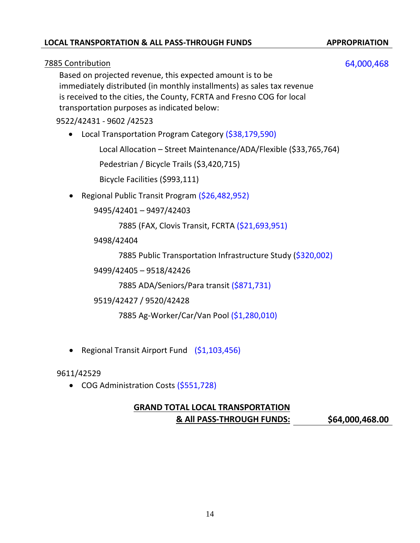### **LOCAL TRANSPORTATION & ALL PASS-THROUGH FUNDS APPROPRIATION**

#### 7885 Contribution 64,000,468

Based on projected revenue, this expected amount is to be immediately distributed (in monthly installments) as sales tax revenue is received to the cities, the County, FCRTA and Fresno COG for local transportation purposes as indicated below:

#### 9522/42431 - 9602 /42523

• Local Transportation Program Category (\$38,179,590)

Local Allocation – Street Maintenance/ADA/Flexible (\$33,765,764)

Pedestrian / Bicycle Trails (\$3,420,715)

Bicycle Facilities (\$993,111)

• Regional Public Transit Program (\$26,482,952)

9495/42401 – 9497/42403

7885 (FAX, Clovis Transit, FCRTA (\$21,693,951)

9498/42404

7885 Public Transportation Infrastructure Study (\$320,002)

9499/42405 – 9518/42426

7885 ADA/Seniors/Para transit (\$871,731)

9519/42427 / 9520/42428

7885 Ag-Worker/Car/Van Pool (\$1,280,010)

• Regional Transit Airport Fund (\$1,103,456)

9611/42529

• COG Administration Costs (\$551,728)

## **GRAND TOTAL LOCAL TRANSPORTATION & All PASS-THROUGH FUNDS: \$64,000,468.00**